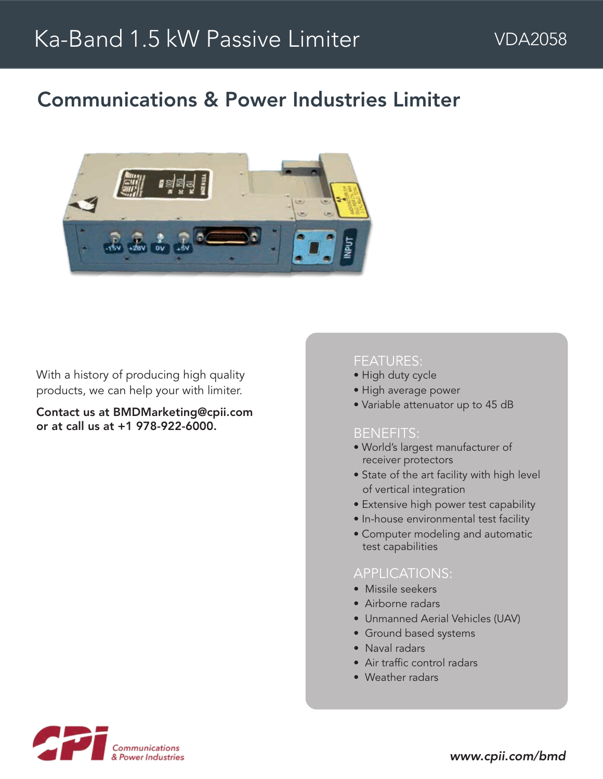# Communications & Power Industries Limiter



With a history of producing high quality products, we can help your with limiter.

Contact us at BMDMarketing@cpii.com or at call us at +1 978-922-6000.

### FEATURES:

- High duty cycle
- High average power
- Variable attenuator up to 45 dB

#### BENEFITS:

- World's largest manufacturer of receiver protectors
- State of the art facility with high level of vertical integration
- Extensive high power test capability
- In-house environmental test facility
- Computer modeling and automatic test capabilities

#### APPLICATIONS:

- Missile seekers
- Airborne radars
- Unmanned Aerial Vehicles (UAV)
- Ground based systems
- Naval radars
- Air traffic control radars
- Weather radars